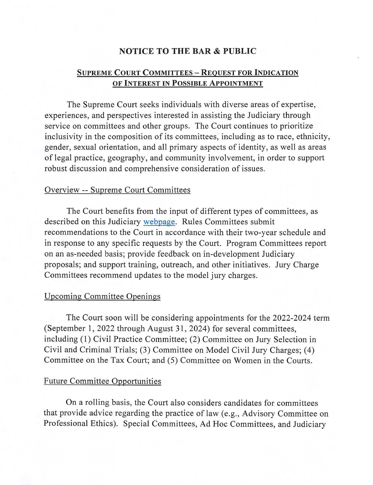#### **NOTICE TO THE BAR & PUBLIC**

# **SUPREME COURT COMMITTEES - REQUEST FOR INDICATION OF INTEREST IN POSSIBLE APPOINTMENT**

The Supreme Court seeks individuals with diverse areas of expertise, experiences, and perspectives interested in assisting the Judiciary through service on committees and other groups. The Court continues to prioritize inclusivity in the composition of its committees, including as to race, ethnicity, gender, sexual orientation, and all primary aspects of identity, as well as areas of legal practice, geography, and community involvement, in order to support robust discussion and comprehensive consideration of issues.

#### Overview -- Supreme Court Committees

The Court benefits from the input of different types of committees, as described on this Judiciary [webpage](https://www.njcourts.gov/courts/supreme/sccommittees.html). Rules Committees submit recommendations to the Court in accordance with their two-year schedule and in response to any specific requests by the Court. Program Committees report on an as-needed basis; provide feedback on in-development Judiciary proposals; and support training, outreach, and other initiatives. Jury Charge Committees recommend updates to the model jury charges.

### Upcoming Committee Openings

The Court soon will be considering appointments for the 2022-2024 term (September 1, 2022 through August 31, 2024) for several committees, including ( **1)** Civil Practice Committee; (2) Committee on Jury Selection in Civil and Criminal Trials; (3) Committee on Model Civil Jury Charges; ( 4) Committee on the Tax Court; and (5) Committee on Women in the Courts.

## Future Committee Opportunities

On a rolling basis, the Court also considers candidates for committees that provide advice regarding the practice of law (e.g., Advisory Committee on Professional Ethics). Special Committees, Ad Hoc Committees, and Judiciary